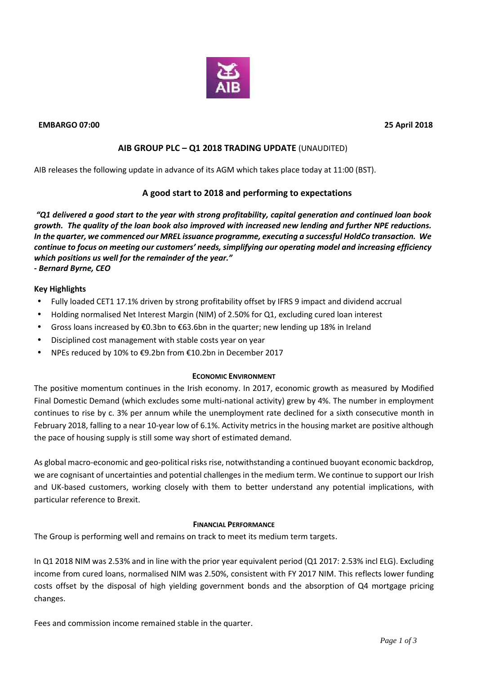

## **EMBARGO 07:00 25 April 2018**

# **AIB GROUP PLC – Q1 2018 TRADING UPDATE** (UNAUDITED)

AIB releases the following update in advance of its AGM which takes place today at 11:00 (BST).

## **A good start to 2018 and performing to expectations**

*"Q1 delivered a good start to the year with strong profitability, capital generation and continued loan book growth. The quality of the loan book also improved with increased new lending and further NPE reductions. In the quarter, we commenced our MREL issuance programme, executing a successful HoldCo transaction. We continue to focus on meeting our customers' needs, simplifying our operating model and increasing efficiency which positions us well for the remainder of the year." - Bernard Byrne, CEO*

## **Key Highlights**

- Fully loaded CET1 17.1% driven by strong profitability offset by IFRS 9 impact and dividend accrual
- Holding normalised Net Interest Margin (NIM) of 2.50% for Q1, excluding cured loan interest
- Gross loans increased by €0.3bn to €63.6bn in the quarter; new lending up 18% in Ireland
- Disciplined cost management with stable costs year on year
- NPEs reduced by 10% to €9.2bn from €10.2bn in December 2017

#### **ECONOMIC ENVIRONMENT**

The positive momentum continues in the Irish economy. In 2017, economic growth as measured by Modified Final Domestic Demand (which excludes some multi-national activity) grew by 4%. The number in employment continues to rise by c. 3% per annum while the unemployment rate declined for a sixth consecutive month in February 2018, falling to a near 10-year low of 6.1%. Activity metrics in the housing market are positive although the pace of housing supply is still some way short of estimated demand.

As global macro-economic and geo-political risks rise, notwithstanding a continued buoyant economic backdrop, we are cognisant of uncertainties and potential challenges in the medium term. We continue to support our Irish and UK-based customers, working closely with them to better understand any potential implications, with particular reference to Brexit.

#### **FINANCIAL PERFORMANCE**

The Group is performing well and remains on track to meet its medium term targets.

In Q1 2018 NIM was 2.53% and in line with the prior year equivalent period (Q1 2017: 2.53% incl ELG). Excluding income from cured loans, normalised NIM was 2.50%, consistent with FY 2017 NIM. This reflects lower funding costs offset by the disposal of high yielding government bonds and the absorption of Q4 mortgage pricing changes.

Fees and commission income remained stable in the quarter.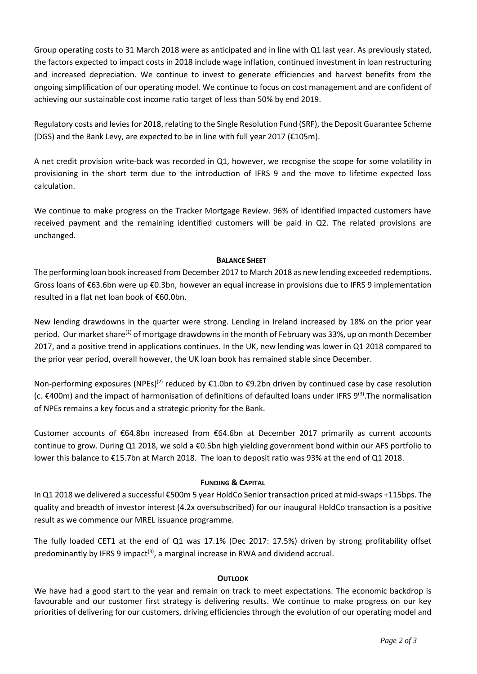Group operating costs to 31 March 2018 were as anticipated and in line with Q1 last year. As previously stated, the factors expected to impact costs in 2018 include wage inflation, continued investment in loan restructuring and increased depreciation. We continue to invest to generate efficiencies and harvest benefits from the ongoing simplification of our operating model. We continue to focus on cost management and are confident of achieving our sustainable cost income ratio target of less than 50% by end 2019.

Regulatory costs and levies for 2018, relating to the Single Resolution Fund (SRF), the Deposit Guarantee Scheme (DGS) and the Bank Levy, are expected to be in line with full year 2017 ( $E105m$ ).

A net credit provision write-back was recorded in Q1, however, we recognise the scope for some volatility in provisioning in the short term due to the introduction of IFRS 9 and the move to lifetime expected loss calculation.

We continue to make progress on the Tracker Mortgage Review. 96% of identified impacted customers have received payment and the remaining identified customers will be paid in Q2. The related provisions are unchanged.

## **BALANCE SHEET**

The performing loan book increased from December 2017 to March 2018 as new lending exceeded redemptions. Gross loans of €63.6bn were up €0.3bn, however an equal increase in provisions due to IFRS 9 implementation resulted in a flat net loan book of€60.0bn.

New lending drawdowns in the quarter were strong. Lending in Ireland increased by 18% on the prior year period. Our market share<sup>(1)</sup> of mortgage drawdowns in the month of February was 33%, up on month December 2017, and a positive trend in applications continues. In the UK, new lending was lower in Q1 2018 compared to the prior year period, overall however, the UK loan book has remained stable since December.

Non-performing exposures (NPEs)<sup>(2)</sup> reduced by €1.0bn to €9.2bn driven by continued case by case resolution (c. €400m) and the impact of harmonisation of definitions of defaulted loans under IFRS 9<sup>(3)</sup>.The normalisation of NPEs remains a key focus and a strategic priority for the Bank.

Customer accounts of €64.8bn increased from €64.6bn at December 2017 primarily as current accounts continue to grow. During Q1 2018, we sold a €0.5bn high yielding government bond within our AFS portfolio to lower this balance to €15.7bn at March 2018. The loan to deposit ratio was 93% at the end of Q1 2018.

## **FUNDING & CAPITAL**

In Q1 2018 we delivered a successful €500m 5 year HoldCo Senior transaction priced at mid-swaps +115bps. The quality and breadth of investor interest (4.2x oversubscribed) for our inaugural HoldCo transaction is a positive result as we commence our MREL issuance programme.

The fully loaded CET1 at the end of Q1 was 17.1% (Dec 2017: 17.5%) driven by strong profitability offset predominantly by IFRS 9 impact<sup>(3)</sup>, a marginal increase in RWA and dividend accrual.

## **OUTLOOK**

We have had a good start to the year and remain on track to meet expectations. The economic backdrop is favourable and our customer first strategy is delivering results. We continue to make progress on our key priorities of delivering for our customers, driving efficiencies through the evolution of our operating model and